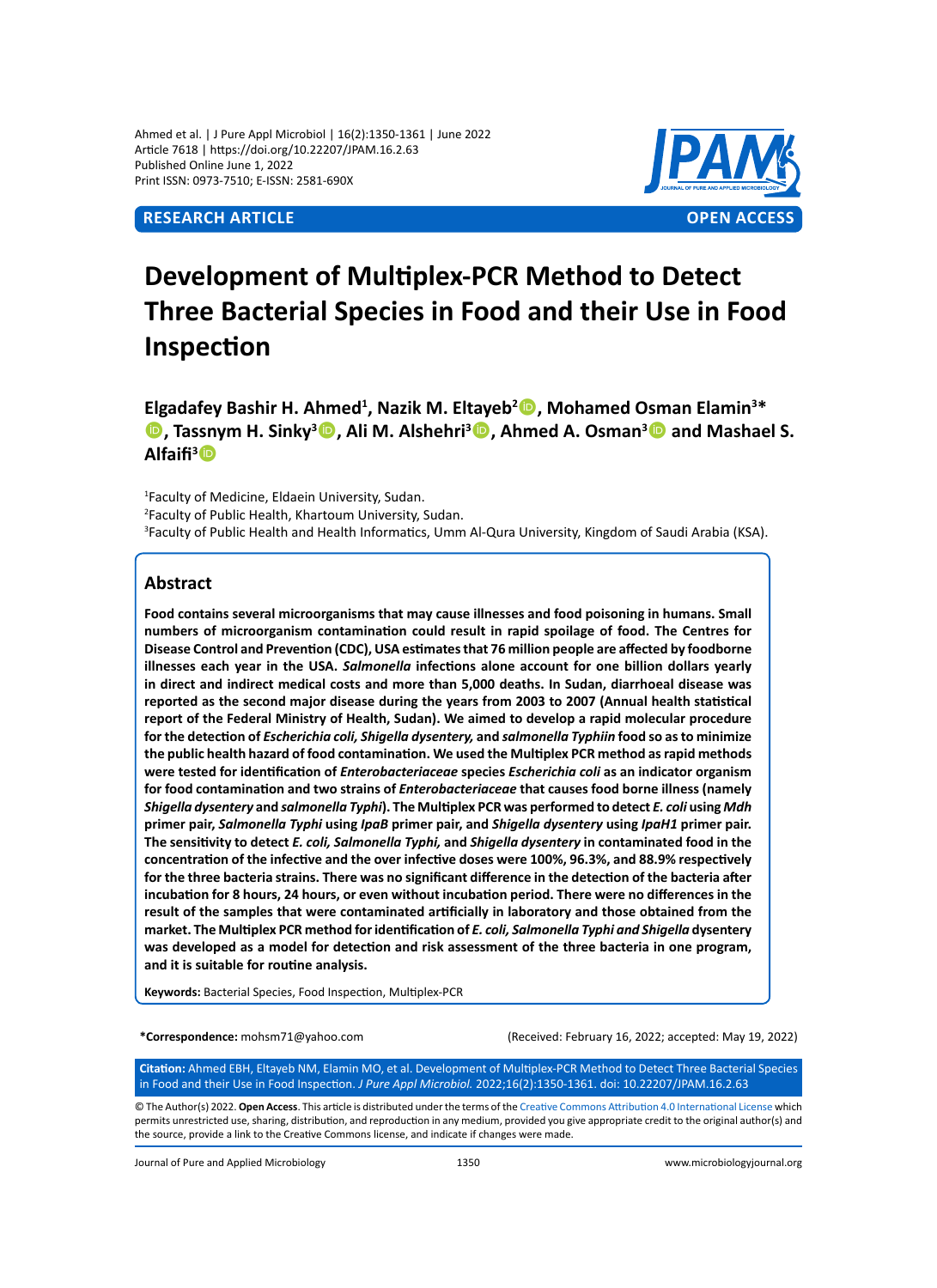Ahmed et al. | J Pure Appl Microbiol | 16(2):1350-1361 | June 2022 Article 7618 | https://doi.org/10.22207/JPAM.16.2.63 Published Online June 1, 2022 Print ISSN: 0973-7510; E-ISSN: 2581-690X



# **Development of Multiplex-PCR Method to Detect Three Bacterial Species in Food and their Use in Food Inspection**

Elgadafey Bashir H. Ahmed<sup>1</sup>, Nazik M. Eltayeb<sup>2</sup><sup>®</sup>, Mohamed Osman Elamin<sup>3\*</sup> **D**, Tassnym H. Sinky<sup>3</sup> **D**, Ali M. Alshehri<sup>3</sup> **D**, Ahmed A. Osman<sup>3</sup> **D** and Mashael S. **Alfaifi<sup>3</sup>**

1 Faculty of Medicine, Eldaein University, Sudan. 2 Faculty of Public Health, Khartoum University, Sudan. 3 Faculty of Public Health and Health Informatics, Umm Al-Qura University, Kingdom of Saudi Arabia (KSA).

# **Abstract**

**Food contains several microorganisms that may cause illnesses and food poisoning in humans. Small numbers of microorganism contamination could result in rapid spoilage of food. The Centres for Disease Control and Prevention (CDC), USA estimates that 76 million people are affected by foodborne illnesses each year in the USA.** *Salmonella* **infections alone account for one billion dollars yearly in direct and indirect medical costs and more than 5,000 deaths. In Sudan, diarrhoeal disease was reported as the second major disease during the years from 2003 to 2007 (Annual health statistical report of the Federal Ministry of Health, Sudan). We aimed to develop a rapid molecular procedure for the detection of** *Escherichia coli, Shigella dysentery,* **and** *salmonella Typhiin* **food so as to minimize the public health hazard of food contamination. We used the Multiplex PCR method as rapid methods were tested for identification of** *Enterobacteriaceae* **species** *Escherichia coli* **as an indicator organism for food contamination and two strains of** *Enterobacteriaceae* **that causes food borne illness (namely**  *Shigella dysentery* **and** *salmonella Typhi***). The Multiplex PCR was performed to detect** *E. coli* **using** *Mdh* **primer pair,** *Salmonella Typhi* **using** *IpaB* **primer pair, and** *Shigella dysentery* **using** *IpaH1* **primer pair. The sensitivity to detect** *E. coli, Salmonella Typhi,* **and** *Shigella dysentery* **in contaminated food in the concentration of the infective and the over infective doses were 100%, 96.3%, and 88.9% respectively for the three bacteria strains. There was no significant difference in the detection of the bacteria after incubation for 8 hours, 24 hours, or even without incubation period. There were no differences in the result of the samples that were contaminated artificially in laboratory and those obtained from the market. The Multiplex PCR method for identification of** *E. coli, Salmonella Typhi and Shigella* **dysentery was developed as a model for detection and risk assessment of the three bacteria in one program, and it is suitable for routine analysis.** 

**Keywords:** Bacterial Species, Food Inspection, Multiplex-PCR

**\*Correspondence:** mohsm71@yahoo.com (Received: February 16, 2022; accepted: May 19, 2022)

**Citation:** Ahmed EBH, Eltayeb NM, Elamin MO, et al. Development of Multiplex-PCR Method to Detect Three Bacterial Species in Food and their Use in Food Inspection. *J Pure Appl Microbiol.* 2022;16(2):1350-1361. doi: 10.22207/JPAM.16.2.63

© The Author(s) 2022. **Open Access**. This article is distributed under the terms of the [Creative Commons Attribution 4.0 International License](https://creativecommons.org/licenses/by/4.0/) which permits unrestricted use, sharing, distribution, and reproduction in any medium, provided you give appropriate credit to the original author(s) and the source, provide a link to the Creative Commons license, and indicate if changes were made.

Journal of Pure and Applied Microbiology 1350 www.microbiologyjournal.org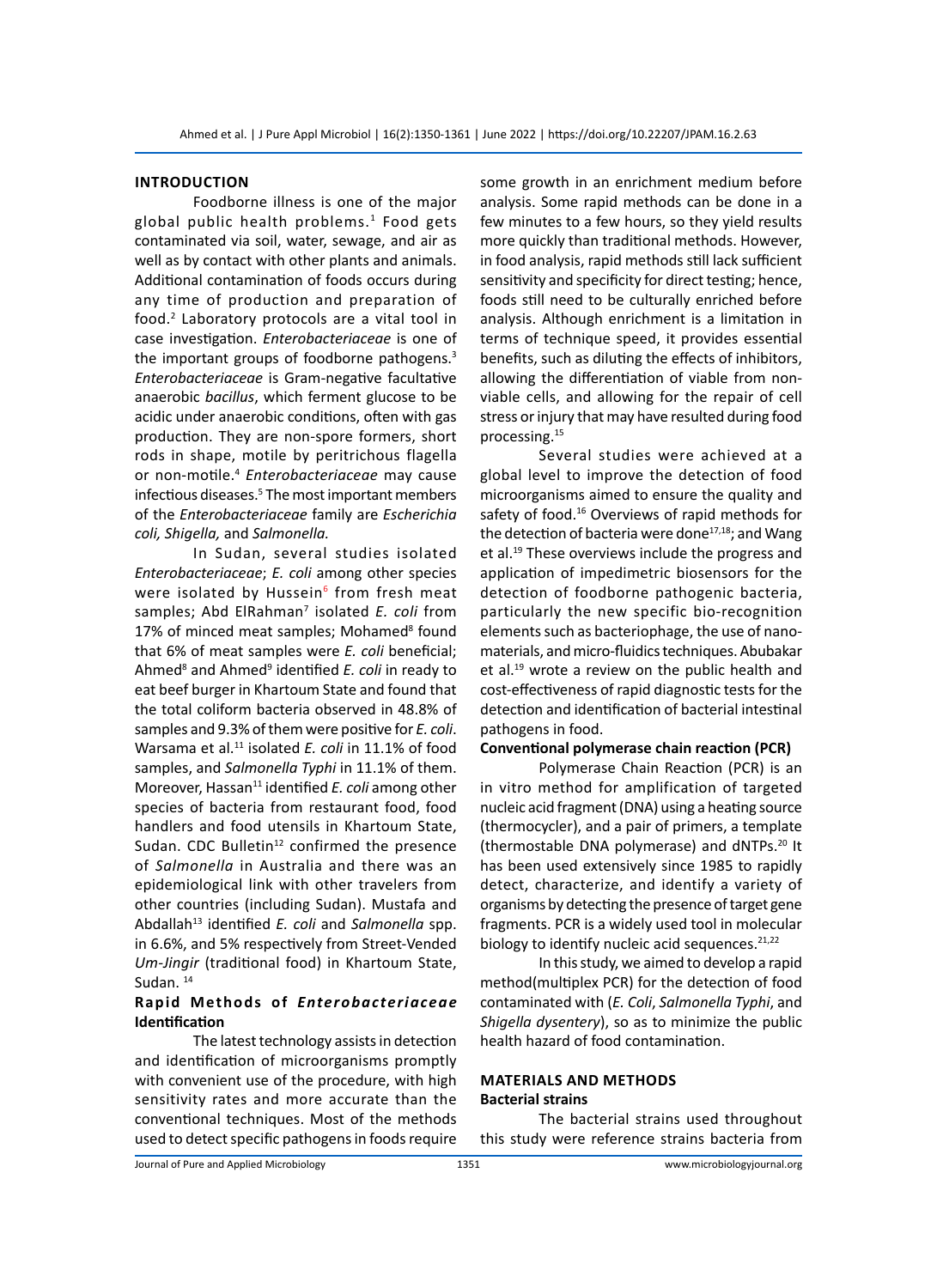### **Introduction**

Foodborne illness is one of the major global public health problems.<sup>1</sup> Food gets contaminated via soil, water, sewage, and air as well as by contact with other plants and animals. Additional contamination of foods occurs during any time of production and preparation of food.2 Laboratory protocols are a vital tool in case investigation. *Enterobacteriaceae* is one of the important groups of foodborne pathogens.<sup>3</sup> *Enterobacteriaceae* is Gram-negative facultative anaerobic *bacillus*, which ferment glucose to be acidic under anaerobic conditions, often with gas production. They are non-spore formers, short rods in shape, motile by peritrichous flagella or non-motile.4 *Enterobacteriaceae* may cause infectious diseases.<sup>5</sup> The most important members of the *Enterobacteriaceae* family are *Escherichia coli, Shigella,* and *Salmonella.*

In Sudan, several studies isolated *Enterobacteriaceae*; *E. coli* among other species were isolated by Hussein<sup>6</sup> from fresh meat samples; Abd ElRahman<sup>7</sup> isolated E. coli from 17% of minced meat samples; Mohamed<sup>8</sup> found that 6% of meat samples were *E. coli* beneficial; Ahmed<sup>8</sup> and Ahmed<sup>9</sup> identified *E. coli* in ready to eat beef burger in Khartoum State and found that the total coliform bacteria observed in 48.8% of samples and 9.3% of them were positive for *E. coli*. Warsama et al.<sup>11</sup> isolated *E. coli* in 11.1% of food samples, and *Salmonella Typhi* in 11.1% of them. Moreover, Hassan<sup>11</sup> identified *E. coli* among other species of bacteria from restaurant food, food handlers and food utensils in Khartoum State, Sudan. CDC Bulletin $12$  confirmed the presence of *Salmonella* in Australia and there was an epidemiological link with other travelers from other countries (including Sudan). Mustafa and Abdallah13 identified *E. coli* and *Salmonella* spp. in 6.6%, and 5% respectively from Street-Vended *Um-Jingir* (traditional food) in Khartoum State, Sudan.<sup>14</sup>

# **Rapid Methods of** *Enterobacteriaceae* **Identification**

The latest technology assists in detection and identification of microorganisms promptly with convenient use of the procedure, with high sensitivity rates and more accurate than the conventional techniques. Most of the methods used to detect specific pathogens in foods require some growth in an enrichment medium before analysis. Some rapid methods can be done in a few minutes to a few hours, so they yield results more quickly than traditional methods. However, in food analysis, rapid methods still lack sufficient sensitivity and specificity for direct testing; hence, foods still need to be culturally enriched before analysis. Although enrichment is a limitation in terms of technique speed, it provides essential benefits, such as diluting the effects of inhibitors, allowing the differentiation of viable from nonviable cells, and allowing for the repair of cell stress or injury that may have resulted during food processing.15

Several studies were achieved at a global level to improve the detection of food microorganisms aimed to ensure the quality and safety of food.<sup>16</sup> Overviews of rapid methods for the detection of bacteria were done $17,18$ ; and Wang et al.<sup>19</sup> These overviews include the progress and application of impedimetric biosensors for the detection of foodborne pathogenic bacteria, particularly the new specific bio-recognition elements such as bacteriophage, the use of nanomaterials, and micro-fluidics techniques. Abubakar et al.<sup>19</sup> wrote a review on the public health and cost-effectiveness of rapid diagnostic tests for the detection and identification of bacterial intestinal pathogens in food.

# **Conventional polymerase chain reaction (PCR)**

Polymerase Chain Reaction (PCR) is an in vitro method for amplification of targeted nucleic acid fragment (DNA) using a heating source (thermocycler), and a pair of primers, a template (thermostable DNA polymerase) and dNTPs.20 It has been used extensively since 1985 to rapidly detect, characterize, and identify a variety of organisms by detecting the presence of target gene fragments. PCR is a widely used tool in molecular biology to identify nucleic acid sequences.  $21,22$ 

In this study, we aimed to develop a rapid method(multiplex PCR) for the detection of food contaminated with (*E. Coli*, *Salmonella Typhi*, and *Shigella dysentery*), so as to minimize the public health hazard of food contamination.

# **Materials and Methods Bacterial strains**

The bacterial strains used throughout this study were reference strains bacteria from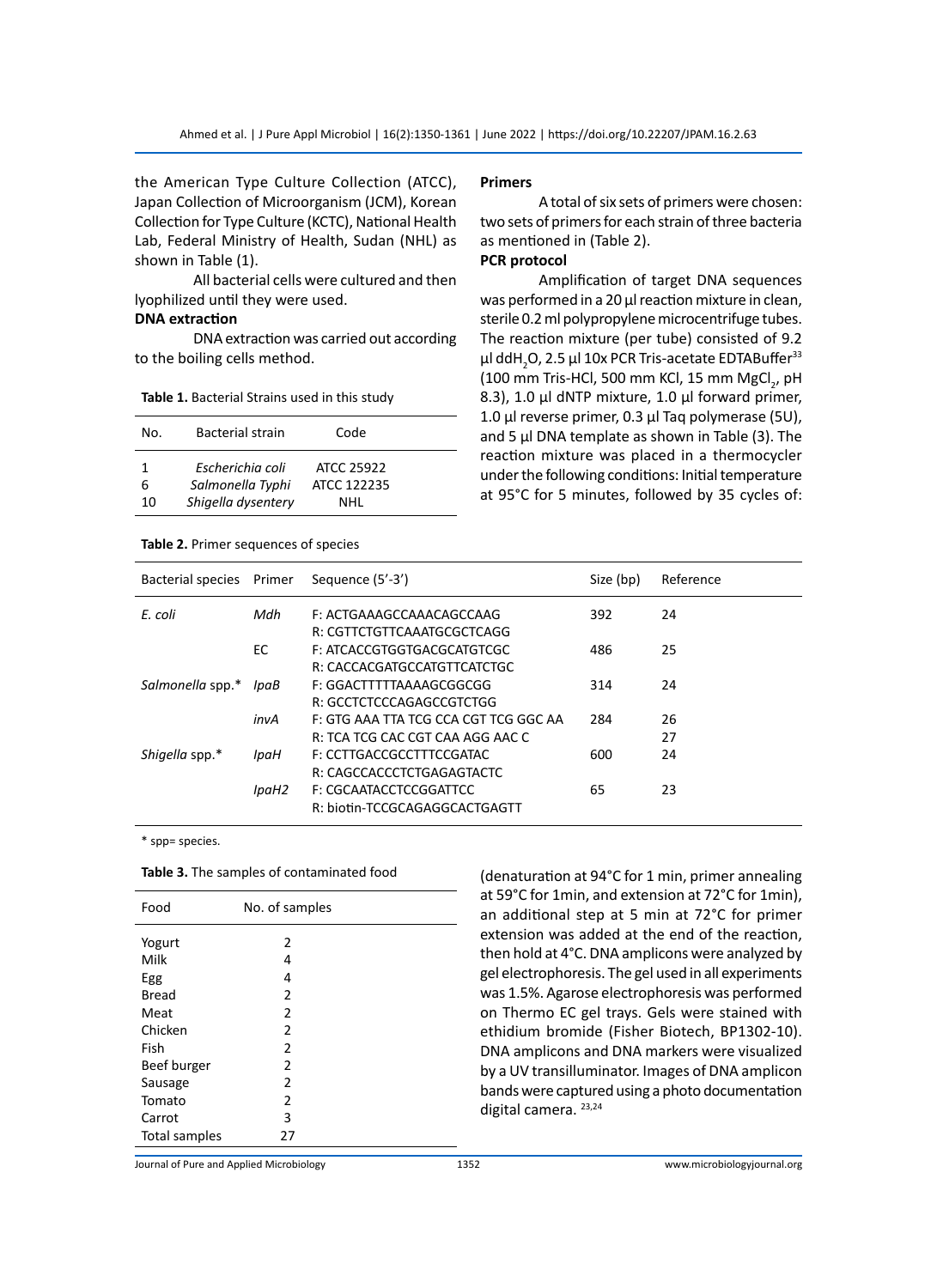the American Type Culture Collection (ATCC), Japan Collection of Microorganism (JCM), Korean Collection for Type Culture (KCTC), National Health Lab, Federal Ministry of Health, Sudan (NHL) as shown in Table (1).

All bacterial cells were cultured and then lyophilized until they were used.

# **DNA extraction**

DNA extraction was carried out according to the boiling cells method.

| No. | Bacterial strain   | Code        |  |
|-----|--------------------|-------------|--|
| 1   | Escherichia coli   | ATCC 25922  |  |
| 6   | Salmonella Typhi   | ATCC 122235 |  |
| 10  | Shigella dysentery | NHL         |  |

#### **Table 2.** Primer sequences of species

#### **Primers**

A total of six sets of primers were chosen: two sets of primers for each strain of three bacteria as mentioned in (Table 2).

# **PCR protocol**

Amplification of target DNA sequences was performed in a 20 μl reaction mixture in clean, sterile 0.2 ml polypropylene microcentrifuge tubes. The reaction mixture (per tube) consisted of 9.2 μl ddH<sub>2</sub>O, 2.5 μl 10x PCR Tris-acetate EDTABuffer $^{\rm 33}$ (100 mm Tris-HCl, 500 mm KCl, 15 mm MgCl<sub>2</sub>, pH 8.3), 1.0 μl dNTP mixture, 1.0 μl forward primer, 1.0 μl reverse primer, 0.3 μl Taq polymerase (5U), and 5 μl DNA template as shown in Table (3). The reaction mixture was placed in a thermocycler under the following conditions: Initial temperature at 95°C for 5 minutes, followed by 35 cycles of:

| Bacterial species | Primer | Sequence (5'-3')                      | Size (bp) | Reference |
|-------------------|--------|---------------------------------------|-----------|-----------|
| E. coli           | Mdh    | F: ACTGAAAGCCAAACAGCCAAG              | 392       | 24        |
|                   |        | R: CGTTCTGTTCAAATGCGCTCAGG            |           |           |
|                   | EC     | F: ATCACCGTGGTGACGCATGTCGC            | 486       | 25        |
|                   |        | R: CACCACGATGCCATGTTCATCTGC           |           |           |
| Salmonella spp.*  | lpaB   | F: GGACTTTTTAAAAGCGGCGG               | 314       | 24        |
|                   |        | R: GCCTCTCCCAGAGCCGTCTGG              |           |           |
|                   | invA   | F: GTG AAA TTA TCG CCA CGT TCG GGC AA | 284       | 26        |
|                   |        | R: TCA TCG CAC CGT CAA AGG AAC C      |           | 27        |
| Shigella spp.*    | lpaH   | F: CCTTGACCGCCTTTCCGATAC              | 600       | 24        |
|                   |        | R: CAGCCACCCTCTGAGAGTACTC             |           |           |
|                   | lpaH2  | F: CGCAATACCTCCGGATTCC                | 65        | 23        |
|                   |        | R: biotin-TCCGCAGAGGCACTGAGTT         |           |           |

\* spp= species.

| Table 3. The samples of contaminated food |  |
|-------------------------------------------|--|
|-------------------------------------------|--|

| Food          | No. of samples |  |
|---------------|----------------|--|
| Yogurt        | 2              |  |
| Milk          | 4              |  |
| Egg           | 4              |  |
| <b>Bread</b>  | 2              |  |
| Meat          | 2              |  |
| Chicken       | 2              |  |
| Fish          | $\overline{2}$ |  |
| Beef burger   | 2              |  |
| Sausage       | 2              |  |
| Tomato        | 2              |  |
| Carrot        | 3              |  |
| Total samples | 27             |  |

(denaturation at 94°C for 1 min, primer annealing at 59°C for 1min, and extension at 72°C for 1min), an additional step at 5 min at 72°C for primer extension was added at the end of the reaction, then hold at 4°C. DNA amplicons were analyzed by gel electrophoresis. The gel used in all experiments was 1.5%. Agarose electrophoresis was performed on Thermo EC gel trays. Gels were stained with ethidium bromide (Fisher Biotech, BP1302-10). DNA amplicons and DNA markers were visualized by a UV transilluminator. Images of DNA amplicon bands were captured using a photo documentation digital camera. 23,24

Journal of Pure and Applied Microbiology 1352 www.microbiologyjournal.org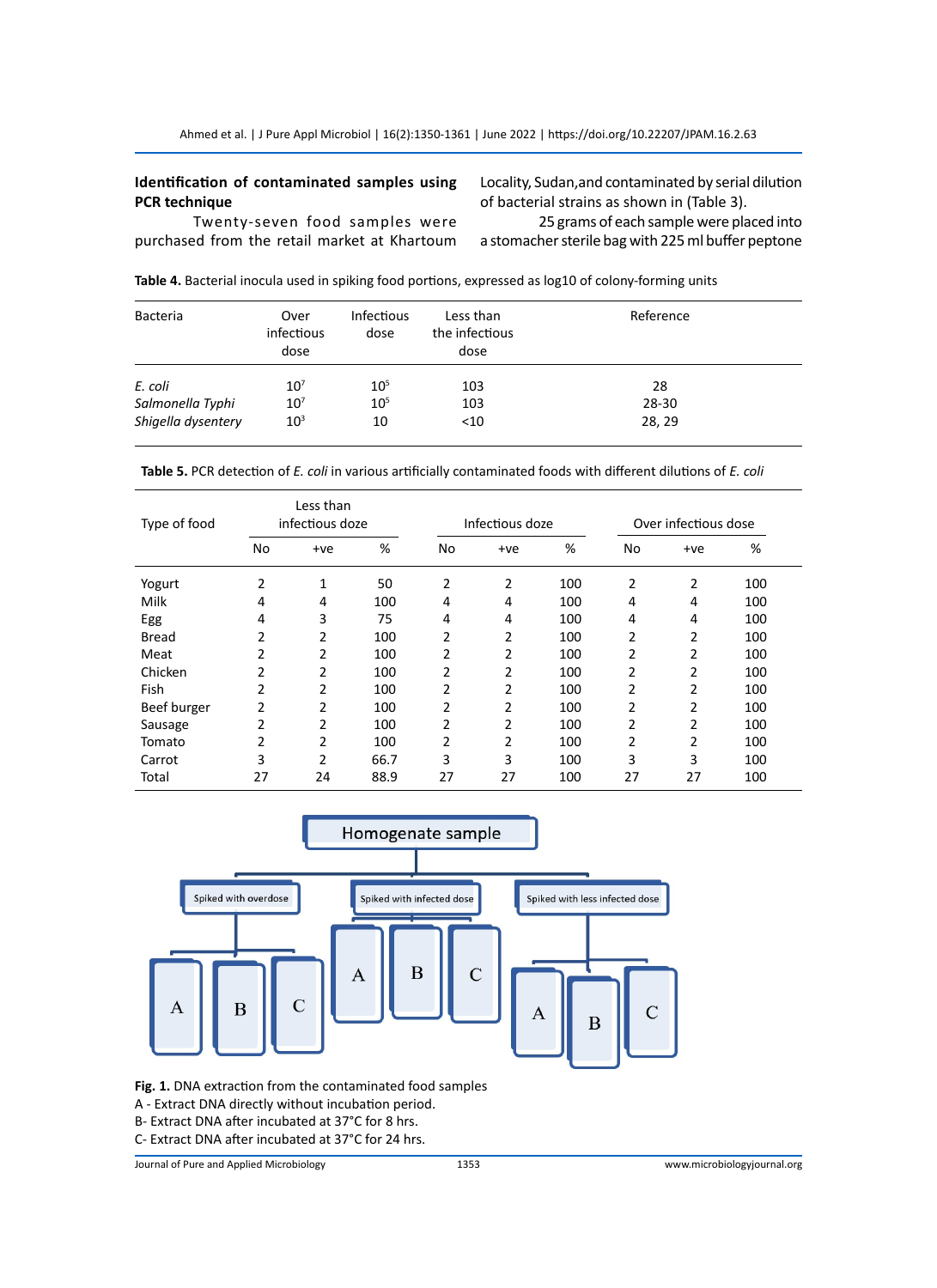# **Identification of contaminated samples using PCR technique**

Locality, Sudan,and contaminated by serial dilution of bacterial strains as shown in (Table 3).

Twenty-seven food samples were purchased from the retail market at Khartoum

25 grams of each sample were placed into a stomacher sterile bag with 225 ml buffer peptone

| Bacteria | Over<br>infectious<br>dose | <b>Infectious</b><br>dose | Less than<br>the infectious<br>dose | and a pacifical models about modeling took portions, expressed as registed to control terming while<br>Reference |  |
|----------|----------------------------|---------------------------|-------------------------------------|------------------------------------------------------------------------------------------------------------------|--|
| E. coli  | $10^{7}$                   | 10 <sup>5</sup>           | 103                                 | 28                                                                                                               |  |

**Table 4.** Bacterial inocula used in spiking food portions, expressed as log10 of colony-forming units

*Salmonella Typhi* 10<sup>7</sup> 10<sup>5</sup> 103 28-30 *Shigella dysentery* 10<sup>3</sup> 10  $\lt$ 10 28, 29

| Table 5. PCR detection of E. coli in various artificially contaminated foods with different dilutions of E. coli |  |
|------------------------------------------------------------------------------------------------------------------|--|
|------------------------------------------------------------------------------------------------------------------|--|

| Type of food | Less than<br>infectious doze |                |      | Infectious doze |                |     | Over infectious dose |       |     |
|--------------|------------------------------|----------------|------|-----------------|----------------|-----|----------------------|-------|-----|
|              | No                           | $+ve$          | %    | No              | $+ve$          | %   | No                   | $+ve$ | %   |
| Yogurt       | 2                            | 1              | 50   | 2               | 2              | 100 | 2                    | 2     | 100 |
| Milk         | 4                            | 4              | 100  | 4               | 4              | 100 | 4                    | 4     | 100 |
| Egg          | 4                            | 3              | 75   | 4               | 4              | 100 | 4                    | 4     | 100 |
| <b>Bread</b> | 2                            | 2              | 100  | 2               | 2              | 100 | 2                    | 2     | 100 |
| Meat         | 2                            | 2              | 100  | 2               | $\overline{2}$ | 100 | 2                    | 2     | 100 |
| Chicken      | 2                            | 2              | 100  | 2               | 2              | 100 | 2                    | 2     | 100 |
| Fish         | 2                            | 2              | 100  | 2               | 2              | 100 | 2                    | 2     | 100 |
| Beef burger  | 2                            | 2              | 100  | 2               | $\overline{2}$ | 100 | 2                    | 2     | 100 |
| Sausage      | 2                            | $\overline{2}$ | 100  | $\overline{2}$  | 2              | 100 | $\overline{2}$       | 2     | 100 |
| Tomato       | 2                            | 2              | 100  | 2               | 2              | 100 | 2                    | 2     | 100 |
| Carrot       | 3                            | 2              | 66.7 | 3               | 3              | 100 | 3                    | 3     | 100 |
| Total        | 27                           | 24             | 88.9 | 27              | 27             | 100 | 27                   | 27    | 100 |



**Fig. 1.** DNA extraction from the contaminated food samples

- A Extract DNA directly without incubation period.
- B- Extract DNA after incubated at 37°C for 8 hrs.
- C- Extract DNA after incubated at 37°C for 24 hrs.

Journal of Pure and Applied Microbiology 1353 www.microbiologyjournal.org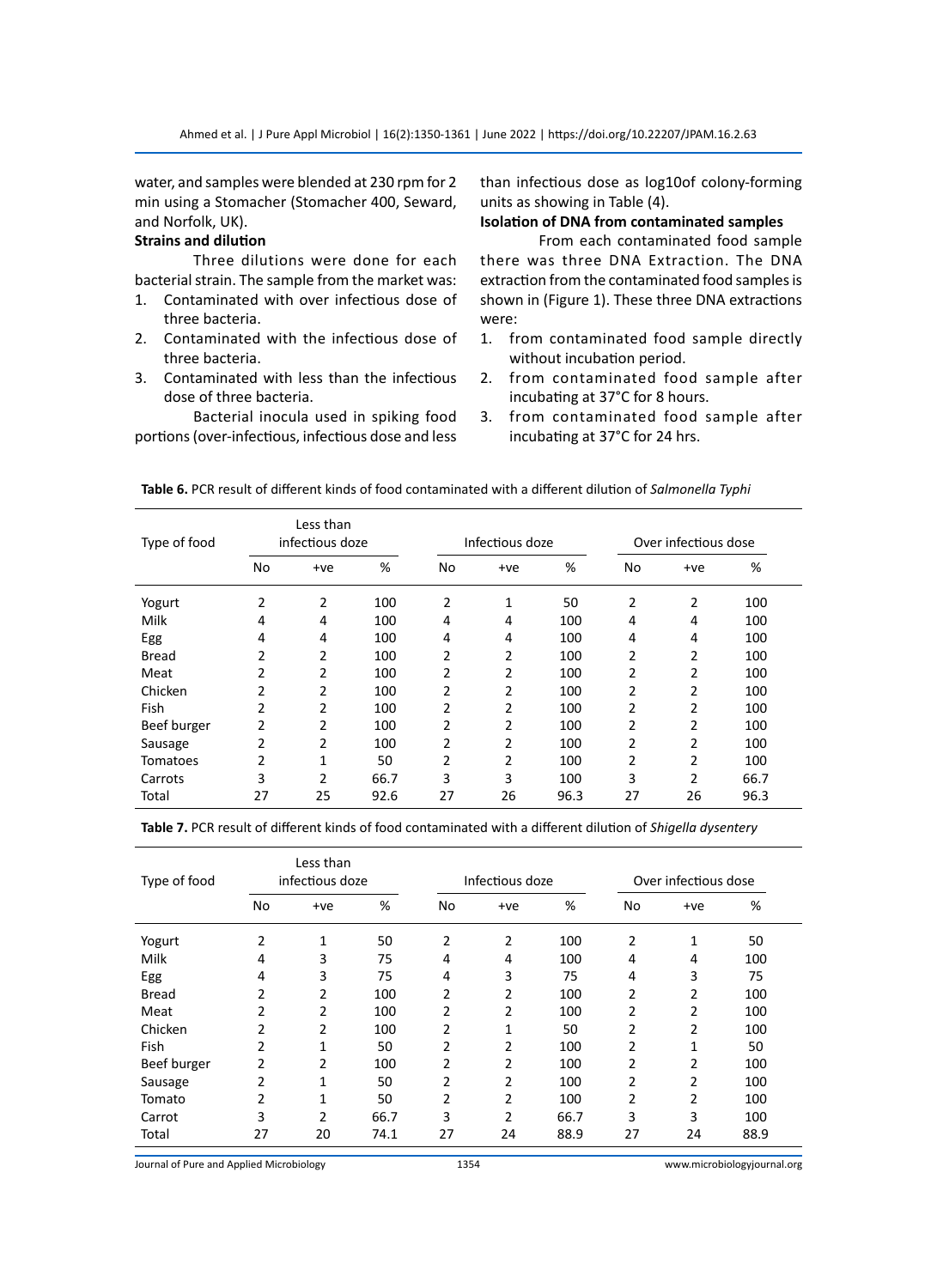water, and samples were blended at 230 rpm for 2 min using a Stomacher (Stomacher 400, Seward, and Norfolk, UK).

# **Strains and dilution**

Three dilutions were done for each bacterial strain. The sample from the market was:

- 1. Contaminated with over infectious dose of three bacteria.
- 2. Contaminated with the infectious dose of three bacteria.
- 3. Contaminated with less than the infectious dose of three bacteria.

Bacterial inocula used in spiking food portions (over-infectious, infectious dose and less than infectious dose as log10of colony-forming units as showing in Table (4).

# **Isolation of DNA from contaminated samples**

From each contaminated food sample there was three DNA Extraction. The DNA extraction from the contaminated food samples is shown in (Figure 1). These three DNA extractions were:

- 1. from contaminated food sample directly without incubation period.
- 2. from contaminated food sample after incubating at 37°C for 8 hours.
- 3. from contaminated food sample after incubating at 37°C for 24 hrs.

| Type of food    | Less than<br>infectious doze |                |      | Infectious doze |       |      | Over infectious dose |                |      |
|-----------------|------------------------------|----------------|------|-----------------|-------|------|----------------------|----------------|------|
|                 | No                           | $+ve$          | %    | No              | $+ve$ | %    | No                   | $+ve$          | %    |
| Yogurt          | 2                            | 2              | 100  | 2               | 1     | 50   | 2                    | $\overline{2}$ | 100  |
| Milk            | 4                            | 4              | 100  | 4               | 4     | 100  | 4                    | 4              | 100  |
| Egg             | 4                            | 4              | 100  | 4               | 4     | 100  | 4                    | 4              | 100  |
| <b>Bread</b>    | 2                            | 2              | 100  | 2               | 2     | 100  | 2                    | $\overline{2}$ | 100  |
| Meat            | 2                            | $\overline{2}$ | 100  | 2               | 2     | 100  | 2                    | 2              | 100  |
| Chicken         | 2                            | $\overline{2}$ | 100  | 2               | 2     | 100  | $\overline{2}$       | 2              | 100  |
| Fish            | 2                            | $\overline{2}$ | 100  | 2               | 2     | 100  | 2                    | 2              | 100  |
| Beef burger     | 2                            | 2              | 100  | 2               | 2     | 100  | 2                    | 2              | 100  |
| Sausage         | 2                            | 2              | 100  | 2               | 2     | 100  | 2                    | 2              | 100  |
| <b>Tomatoes</b> | 2                            | 1              | 50   | $\overline{2}$  | 2     | 100  | 2                    | 2              | 100  |
| Carrots         | 3                            | $\overline{2}$ | 66.7 | 3               | 3     | 100  | 3                    | $\overline{2}$ | 66.7 |
| Total           | 27                           | 25             | 92.6 | 27              | 26    | 96.3 | 27                   | 26             | 96.3 |

**Table 6.** PCR result of different kinds of food contaminated with a different dilution of *Salmonella Typhi*

**Table 7.** PCR result of different kinds of food contaminated with a different dilution of *Shigella dysentery*

| Type of food | Less than<br>infectious doze |       |      | Infectious doze |                |      | Over infectious dose |                |      |  |
|--------------|------------------------------|-------|------|-----------------|----------------|------|----------------------|----------------|------|--|
|              | No                           | $+ve$ | %    | No              | $+ve$          | %    | No                   | $+ve$          | %    |  |
| Yogurt       | 2                            | 1     | 50   | $\overline{2}$  | 2              | 100  | 2                    | 1              | 50   |  |
| Milk         | 4                            | 3     | 75   | 4               | 4              | 100  | 4                    | 4              | 100  |  |
| Egg          | 4                            | 3     | 75   | 4               | 3              | 75   | 4                    | 3              | 75   |  |
| Bread        | 2                            | 2     | 100  | $\overline{2}$  | 2              | 100  | $\overline{2}$       | 2              | 100  |  |
| Meat         | 2                            | 2     | 100  | 2               | 2              | 100  | 2                    | 2              | 100  |  |
| Chicken      | 2                            | 2     | 100  | 2               | 1              | 50   | 2                    | 2              | 100  |  |
| Fish         | 2                            | 1     | 50   | 2               | 2              | 100  | 2                    | 1              | 50   |  |
| Beef burger  | 2                            | 2     | 100  | 2               | 2              | 100  | 2                    | 2              | 100  |  |
| Sausage      | 2                            | 1     | 50   | $\overline{2}$  | 2              | 100  | 2                    | $\overline{2}$ | 100  |  |
| Tomato       | 2                            | 1     | 50   | 2               | 2              | 100  | 2                    | 2              | 100  |  |
| Carrot       | 3                            | 2     | 66.7 | 3               | $\overline{2}$ | 66.7 | 3                    | 3              | 100  |  |
| Total        | 27                           | 20    | 74.1 | 27              | 24             | 88.9 | 27                   | 24             | 88.9 |  |

Journal of Pure and Applied Microbiology 1354 www.microbiologyjournal.org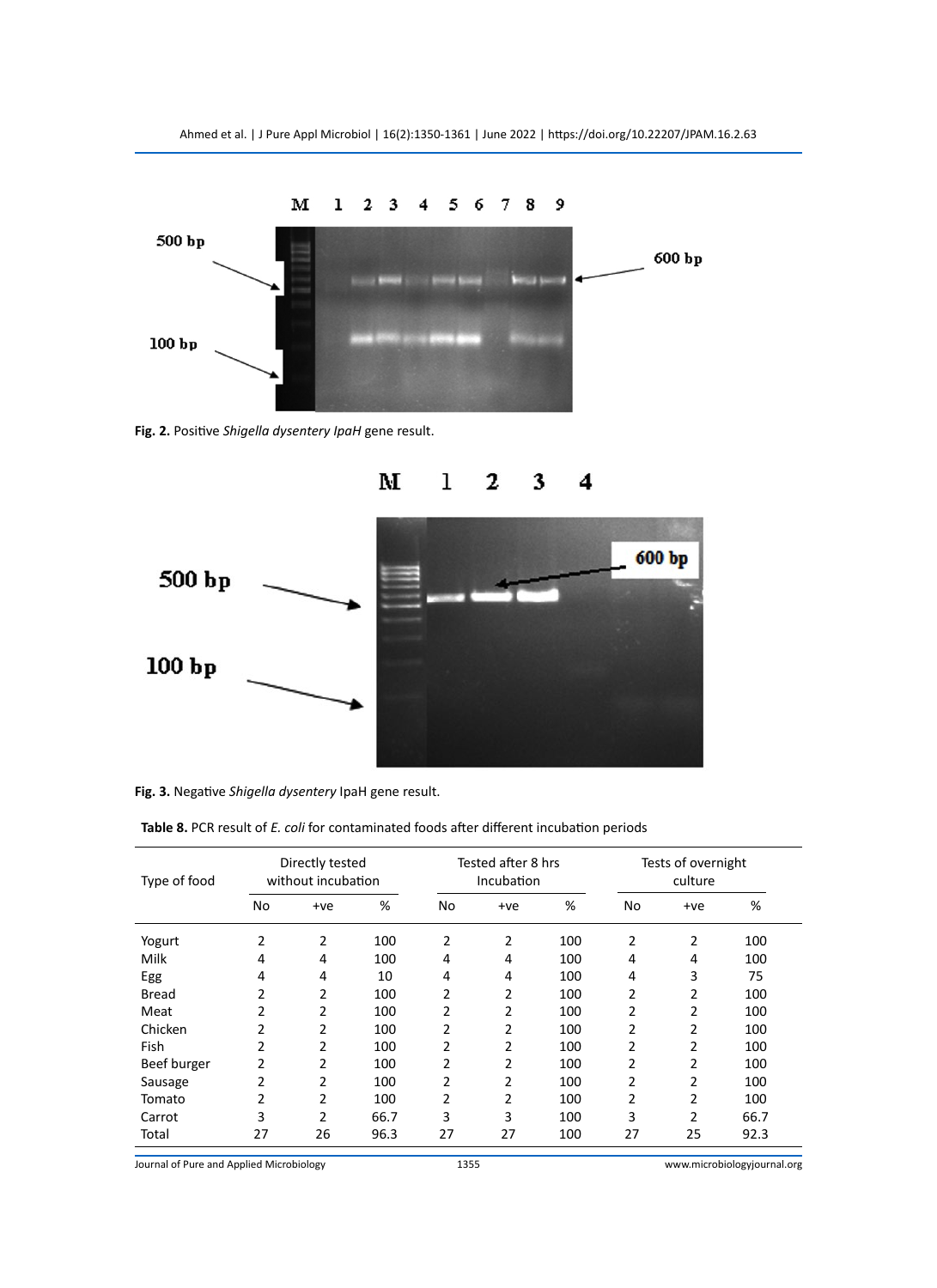

**Fig. 2.** Positive *Shigella dysentery IpaH* gene result.



**Fig. 3.** Negative *Shigella dysentery* IpaH gene result.

| Type of food | Directly tested<br>without incubation |                |      | Tested after 8 hrs<br>Incubation |                |     | Tests of overnight<br>culture |       |      |
|--------------|---------------------------------------|----------------|------|----------------------------------|----------------|-----|-------------------------------|-------|------|
|              | No                                    | $+ve$          | %    | No                               | $+ve$          | %   | No                            | $+ve$ | %    |
| Yogurt       | 2                                     | $\overline{2}$ | 100  | 2                                | 2              | 100 | 2                             | 2     | 100  |
| Milk         | 4                                     | 4              | 100  | 4                                | 4              | 100 | 4                             | 4     | 100  |
| Egg          | 4                                     | 4              | 10   | 4                                | 4              | 100 | 4                             | 3     | 75   |
| Bread        | 2                                     | 2              | 100  | 2                                | 2              | 100 | 2                             | 2     | 100  |
| Meat         | 2                                     | 2              | 100  | 2                                | 2              | 100 | 2                             | 2     | 100  |
| Chicken      | 2                                     | 2              | 100  | 2                                | $\overline{2}$ | 100 | $\overline{2}$                | 2     | 100  |
| Fish         | 2                                     | 2              | 100  | 2                                | 2              | 100 | 2                             | 2     | 100  |
| Beef burger  | 2                                     | 2              | 100  | $\overline{2}$                   | 2              | 100 | 2                             | 2     | 100  |
| Sausage      | 2                                     | 2              | 100  | $\overline{2}$                   | $\overline{2}$ | 100 | 2                             | 2     | 100  |
| Tomato       | 2                                     | 2              | 100  | 2                                | 2              | 100 | 2                             | 2     | 100  |
| Carrot       | 3                                     | 2              | 66.7 | 3                                | 3              | 100 | 3                             | 2     | 66.7 |
| Total        | 27                                    | 26             | 96.3 | 27                               | 27             | 100 | 27                            | 25    | 92.3 |

**Table 8.** PCR result of *E. coli* for contaminated foods after different incubation periods

Journal of Pure and Applied Microbiology 1355 www.microbiologyjournal.org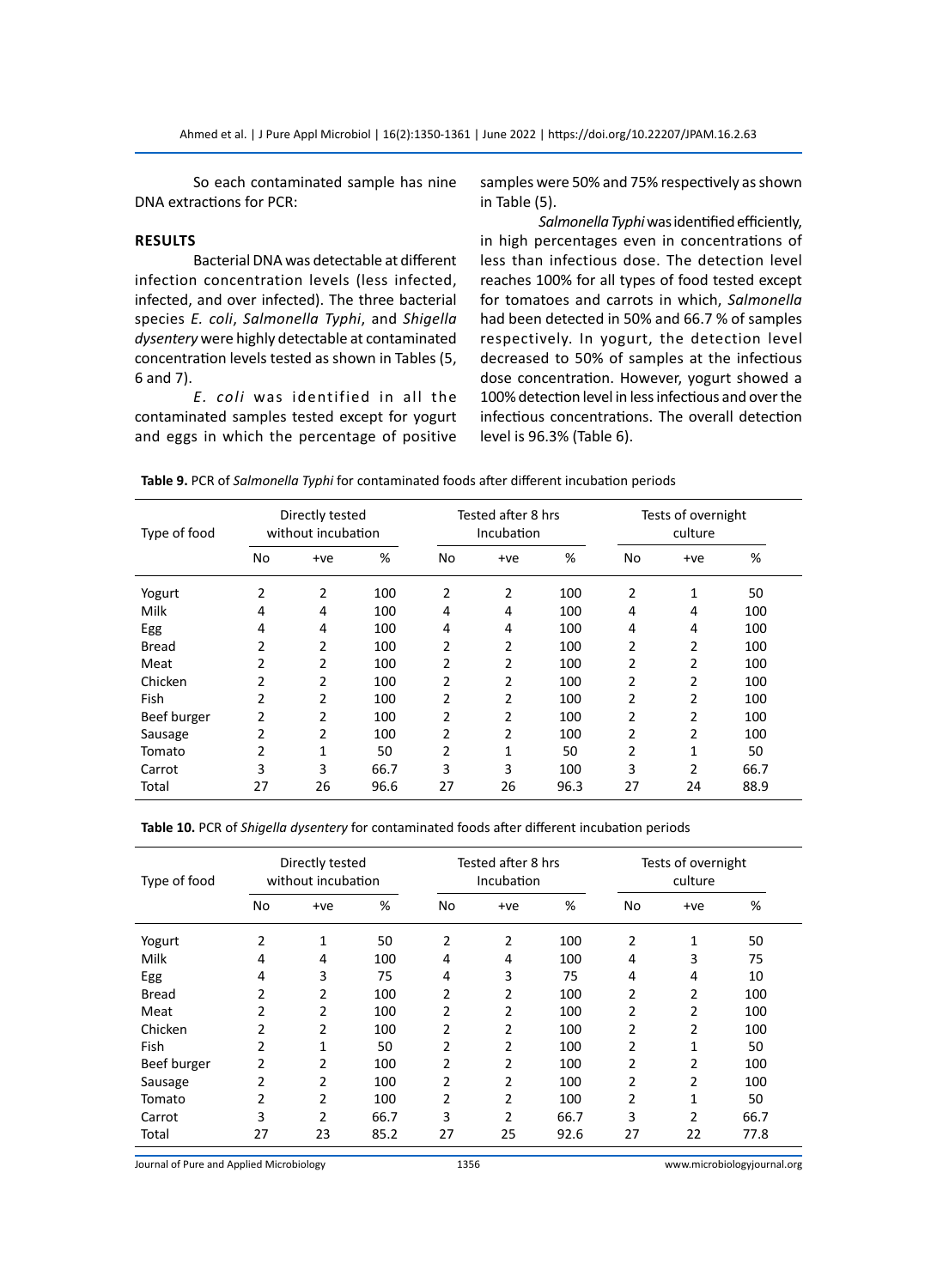So each contaminated sample has nine DNA extractions for PCR:

# **Results**

Bacterial DNA was detectable at different infection concentration levels (less infected, infected, and over infected). The three bacterial species *E. coli*, *Salmonella Typhi*, and *Shigella dysentery* were highly detectable at contaminated concentration levels tested as shown in Tables (5, 6 and 7).

*E. coli* was identified in all the contaminated samples tested except for yogurt and eggs in which the percentage of positive samples were 50% and 75% respectively as shown in Table (5).

*Salmonella Typhi* was identified efficiently, in high percentages even in concentrations of less than infectious dose. The detection level reaches 100% for all types of food tested except for tomatoes and carrots in which, *Salmonella*  had been detected in 50% and 66.7 % of samples respectively. In yogurt, the detection level decreased to 50% of samples at the infectious dose concentration. However, yogurt showed a 100% detection level in less infectious and over the infectious concentrations. The overall detection level is 96.3% (Table 6).

**Table 9.** PCR of *Salmonella Typhi* for contaminated foods after different incubation periods

| Type of food | Directly tested<br>without incubation |                |      | Tested after 8 hrs<br>Incubation |                |      | Tests of overnight<br>culture |                |      |
|--------------|---------------------------------------|----------------|------|----------------------------------|----------------|------|-------------------------------|----------------|------|
|              | No                                    | +ve            | %    | No                               | $+ve$          | %    | No                            | $+ve$          | %    |
| Yogurt       | 2                                     | 2              | 100  | 2                                | $\overline{2}$ | 100  | 2                             | 1              | 50   |
| Milk         | 4                                     | 4              | 100  | 4                                | 4              | 100  | 4                             | 4              | 100  |
| Egg          | 4                                     | 4              | 100  | 4                                | 4              | 100  | 4                             | 4              | 100  |
| Bread        | 2                                     | 2              | 100  | 2                                | 2              | 100  | 2                             | 2              | 100  |
| Meat         | 2                                     | 2              | 100  | 2                                | 2              | 100  | 2                             | 2              | 100  |
| Chicken      | 2                                     | 2              | 100  | $\overline{2}$                   | 2              | 100  | 2                             | 2              | 100  |
| Fish         | 2                                     | 2              | 100  | 2                                | 2              | 100  | 2                             | 2              | 100  |
| Beef burger  | 2                                     | $\overline{2}$ | 100  | 2                                | 2              | 100  | 2                             | 2              | 100  |
| Sausage      | 2                                     | 2              | 100  | 2                                | 2              | 100  | 2                             | 2              | 100  |
| Tomato       | 2                                     | 1              | 50   | 2                                | 1              | 50   | 2                             | 1              | 50   |
| Carrot       | 3                                     | 3              | 66.7 | 3                                | 3              | 100  | 3                             | $\overline{2}$ | 66.7 |
| Total        | 27                                    | 26             | 96.6 | 27                               | 26             | 96.3 | 27                            | 24             | 88.9 |

**Table 10.** PCR of *Shigella dysentery* for contaminated foods after different incubation periods

| Type of food | Directly tested<br>without incubation |                |      | Tested after 8 hrs<br>Incubation |                |      | Tests of overnight<br>culture |       |      |
|--------------|---------------------------------------|----------------|------|----------------------------------|----------------|------|-------------------------------|-------|------|
|              | No                                    | $+ve$          | %    | No                               | $+ve$          | %    | No                            | $+ve$ | %    |
| Yogurt       | 2                                     | 1              | 50   | 2                                | 2              | 100  | 2                             | 1     | 50   |
| Milk         | 4                                     | 4              | 100  | 4                                | 4              | 100  | 4                             | 3     | 75   |
| Egg          | 4                                     | 3              | 75   | 4                                | 3              | 75   | 4                             | 4     | 10   |
| Bread        | 2                                     | $\overline{2}$ | 100  | 2                                | 2              | 100  | 2                             | 2     | 100  |
| Meat         | 2                                     | $\overline{2}$ | 100  | 2                                | 2              | 100  | 2                             | 2     | 100  |
| Chicken      | 2                                     | 2              | 100  | 2                                | 2              | 100  | 2                             | 2     | 100  |
| Fish         | 2                                     | 1              | 50   | 2                                | 2              | 100  | 2                             | 1     | 50   |
| Beef burger  | 2                                     | 2              | 100  | 2                                | 2              | 100  | 2                             | 2     | 100  |
| Sausage      | 2                                     | 2              | 100  | 2                                | 2              | 100  | 2                             | 2     | 100  |
| Tomato       | 2                                     | 2              | 100  | 2                                | 2              | 100  | 2                             | 1     | 50   |
| Carrot       | 3                                     | $\overline{2}$ | 66.7 | 3                                | $\overline{2}$ | 66.7 | 3                             | 2     | 66.7 |
| Total        | 27                                    | 23             | 85.2 | 27                               | 25             | 92.6 | 27                            | 22    | 77.8 |

Journal of Pure and Applied Microbiology 1356 www.microbiologyjournal.org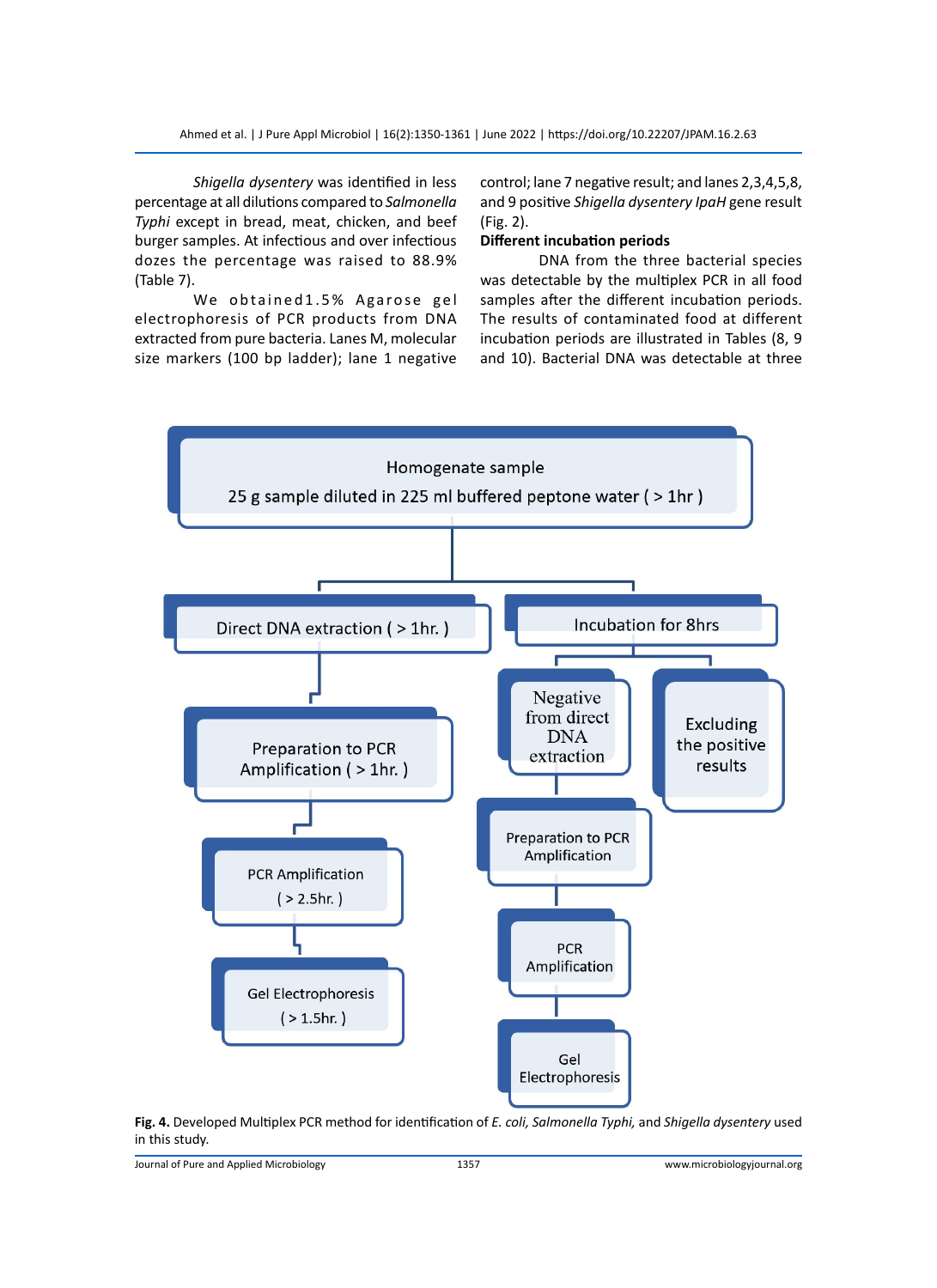*Shigella dysentery* was identified in less percentage at all dilutions compared to *Salmonella Typhi* except in bread, meat, chicken, and beef burger samples. At infectious and over infectious dozes the percentage was raised to 88.9% (Table 7).

We obtained 1.5% Agarose gel electrophoresis of PCR products from DNA extracted from pure bacteria. Lanes M, molecular size markers (100 bp ladder); lane 1 negative

control; lane 7 negative result; and lanes 2,3,4,5,8, and 9 positive *Shigella dysentery IpaH* gene result (Fig. 2).

# **Different incubation periods**

DNA from the three bacterial species was detectable by the multiplex PCR in all food samples after the different incubation periods. The results of contaminated food at different incubation periods are illustrated in Tables (8, 9 and 10). Bacterial DNA was detectable at three



**Fig. 4.** Developed Multiplex PCR method for identification of *E. coli, Salmonella Typhi,* and *Shigella dysentery* used in this study.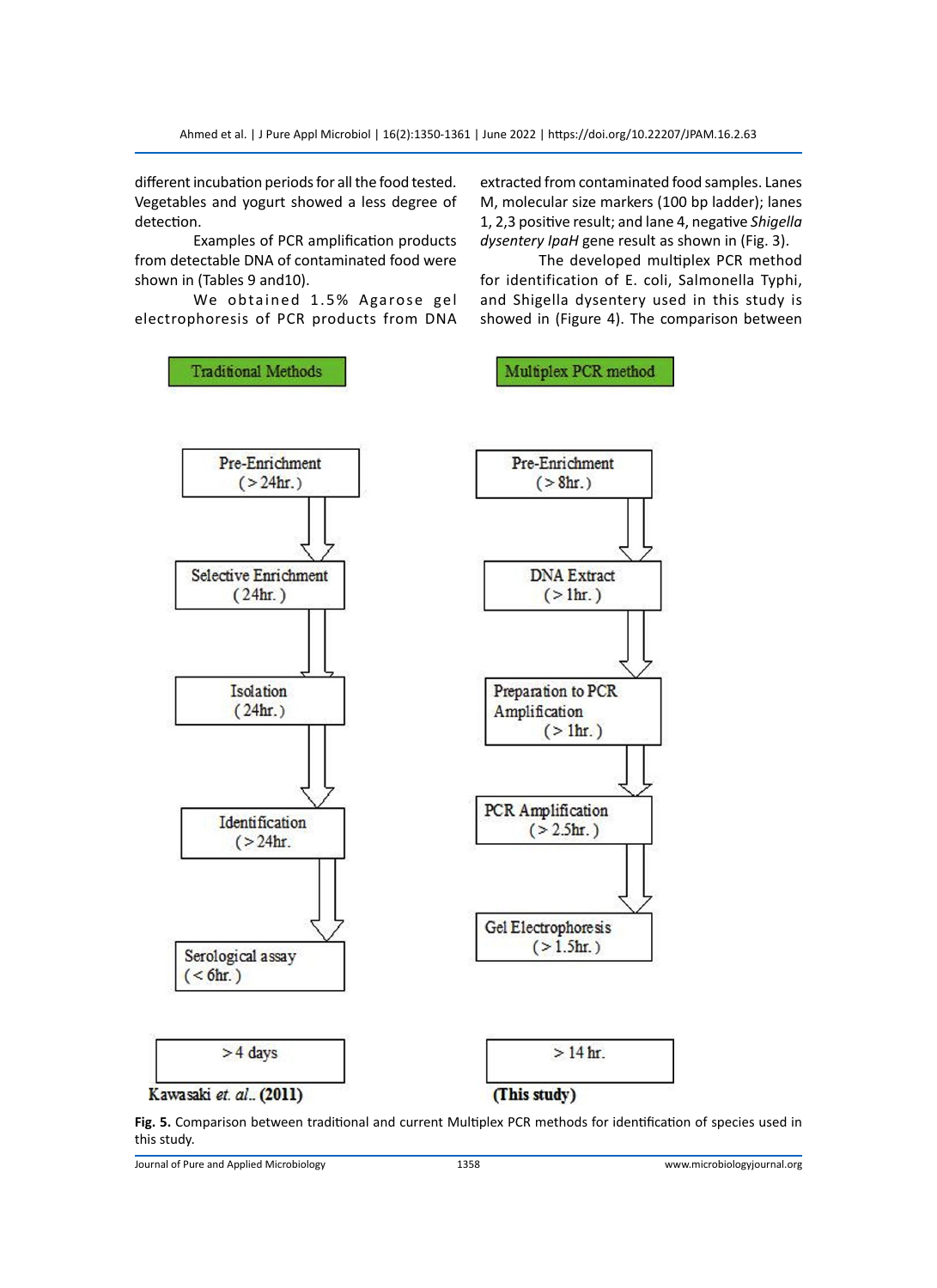different incubation periods for all the food tested. Vegetables and yogurt showed a less degree of detection.

Examples of PCR amplification products from detectable DNA of contaminated food were shown in (Tables 9 and10).

We obtained 1.5% Agarose gel electrophoresis of PCR products from DNA

extracted from contaminated food samples. Lanes M, molecular size markers (100 bp ladder); lanes 1, 2,3 positive result; and lane 4, negative *Shigella dysentery IpaH* gene result as shown in (Fig. 3).

The developed multiplex PCR method for identification of E. coli, Salmonella Typhi, and Shigella dysentery used in this study is showed in (Figure 4). The comparison between



**Fig. 5.** Comparison between traditional and current Multiplex PCR methods for identification of species used in this study.

Journal of Pure and Applied Microbiology 1358 www.microbiologyjournal.org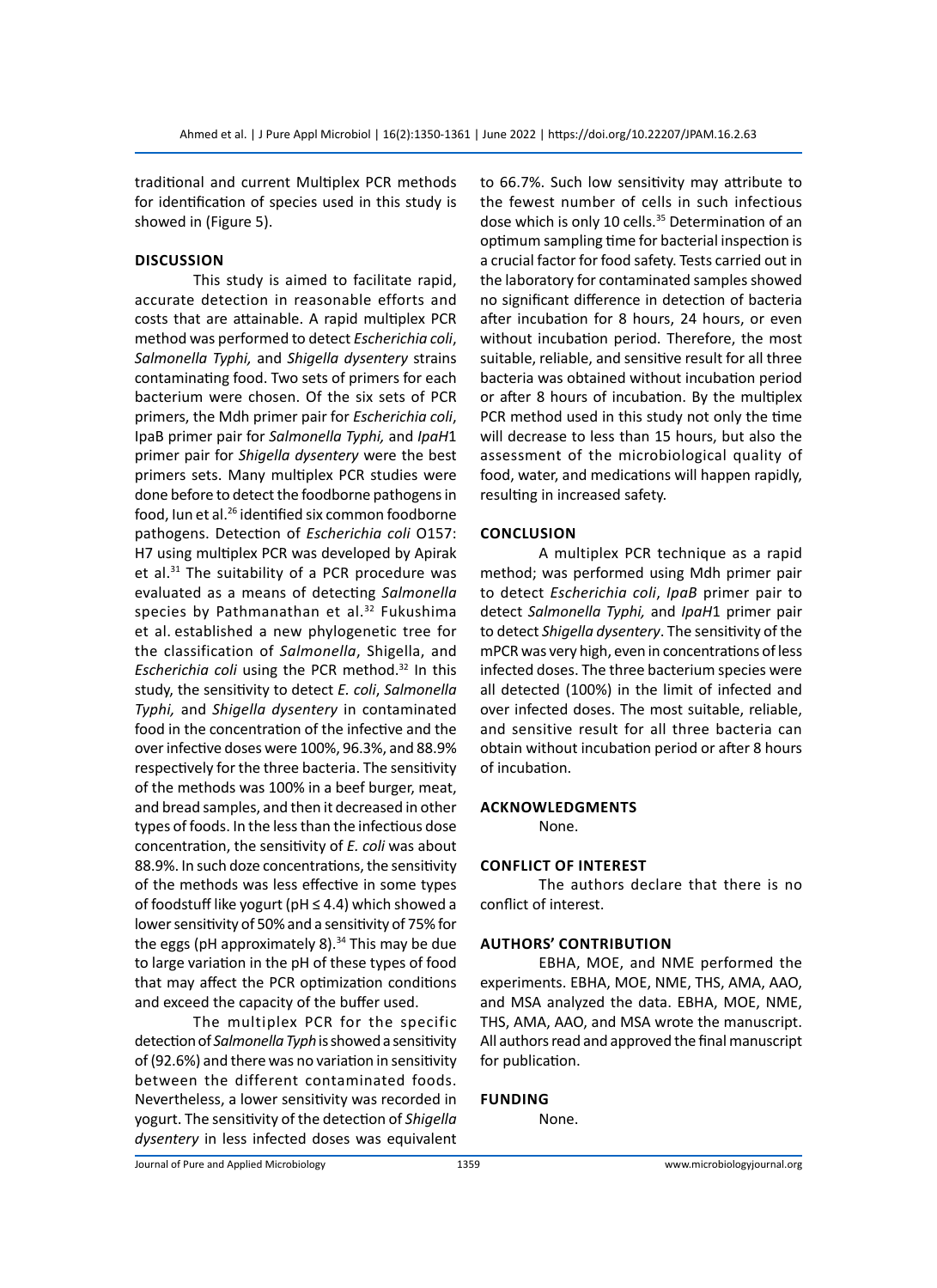traditional and current Multiplex PCR methods for identification of species used in this study is showed in (Figure 5).

#### **Discussion**

This study is aimed to facilitate rapid, accurate detection in reasonable efforts and costs that are attainable. A rapid multiplex PCR method was performed to detect *Escherichia coli*, *Salmonella Typhi,* and *Shigella dysentery* strains contaminating food. Two sets of primers for each bacterium were chosen. Of the six sets of PCR primers, the Mdh primer pair for *Escherichia coli*, IpaB primer pair for *Salmonella Typhi,* and *IpaH*1 primer pair for *Shigella dysentery* were the best primers sets. Many multiplex PCR studies were done before to detect the foodborne pathogens in food, Iun et al.26 identified six common foodborne pathogens. Detection of *Escherichia coli* O157: H7 using multiplex PCR was developed by Apirak et al.<sup>31</sup> The suitability of a PCR procedure was evaluated as a means of detecting *Salmonella* species by Pathmanathan et al. $32$  Fukushima et al. established a new phylogenetic tree for the classification of *Salmonella*, Shigella, and *Escherichia coli* using the PCR method.32 In this study, the sensitivity to detect *E. coli*, *Salmonella Typhi,* and *Shigella dysentery* in contaminated food in the concentration of the infective and the over infective doses were 100%, 96.3%, and 88.9% respectively for the three bacteria. The sensitivity of the methods was 100% in a beef burger, meat, and bread samples, and then it decreased in other types of foods. In the less than the infectious dose concentration, the sensitivity of *E. coli* was about 88.9%. In such doze concentrations, the sensitivity of the methods was less effective in some types of foodstuff like yogurt ( $pH \leq 4.4$ ) which showed a lower sensitivity of 50% and a sensitivity of 75% for the eggs (pH approximately 8). $34$  This may be due to large variation in the pH of these types of food that may affect the PCR optimization conditions and exceed the capacity of the buffer used.

The multiplex PCR for the specific detection of *Salmonella Typh* is showed a sensitivity of (92.6%) and there was no variation in sensitivity between the different contaminated foods. Nevertheless, a lower sensitivity was recorded in yogurt. The sensitivity of the detection of *Shigella dysentery* in less infected doses was equivalent

to 66.7%. Such low sensitivity may attribute to the fewest number of cells in such infectious dose which is only 10 cells.<sup>35</sup> Determination of an optimum sampling time for bacterial inspection is a crucial factor for food safety. Tests carried out in the laboratory for contaminated samples showed no significant difference in detection of bacteria after incubation for 8 hours, 24 hours, or even without incubation period. Therefore, the most suitable, reliable, and sensitive result for all three bacteria was obtained without incubation period or after 8 hours of incubation. By the multiplex PCR method used in this study not only the time will decrease to less than 15 hours, but also the assessment of the microbiological quality of food, water, and medications will happen rapidly, resulting in increased safety.

#### **Conclusion**

A multiplex PCR technique as a rapid method; was performed using Mdh primer pair to detect *Escherichia coli*, *IpaB* primer pair to detect *Salmonella Typhi,* and *IpaH*1 primer pair to detect *Shigella dysentery*. The sensitivity of the mPCR was very high, even in concentrations of less infected doses. The three bacterium species were all detected (100%) in the limit of infected and over infected doses. The most suitable, reliable, and sensitive result for all three bacteria can obtain without incubation period or after 8 hours of incubation.

#### **Acknowledgments**

None.

#### **Conflict of Interest**

The authors declare that there is no conflict of interest.

#### **Authors' Contribution**

EBHA, MOE, and NME performed the experiments. EBHA, MOE, NME, THS, AMA, AAO, and MSA analyzed the data. EBHA, MOE, NME, THS, AMA, AAO, and MSA wrote the manuscript. All authors read and approved the final manuscript for publication.

#### **Funding**

None.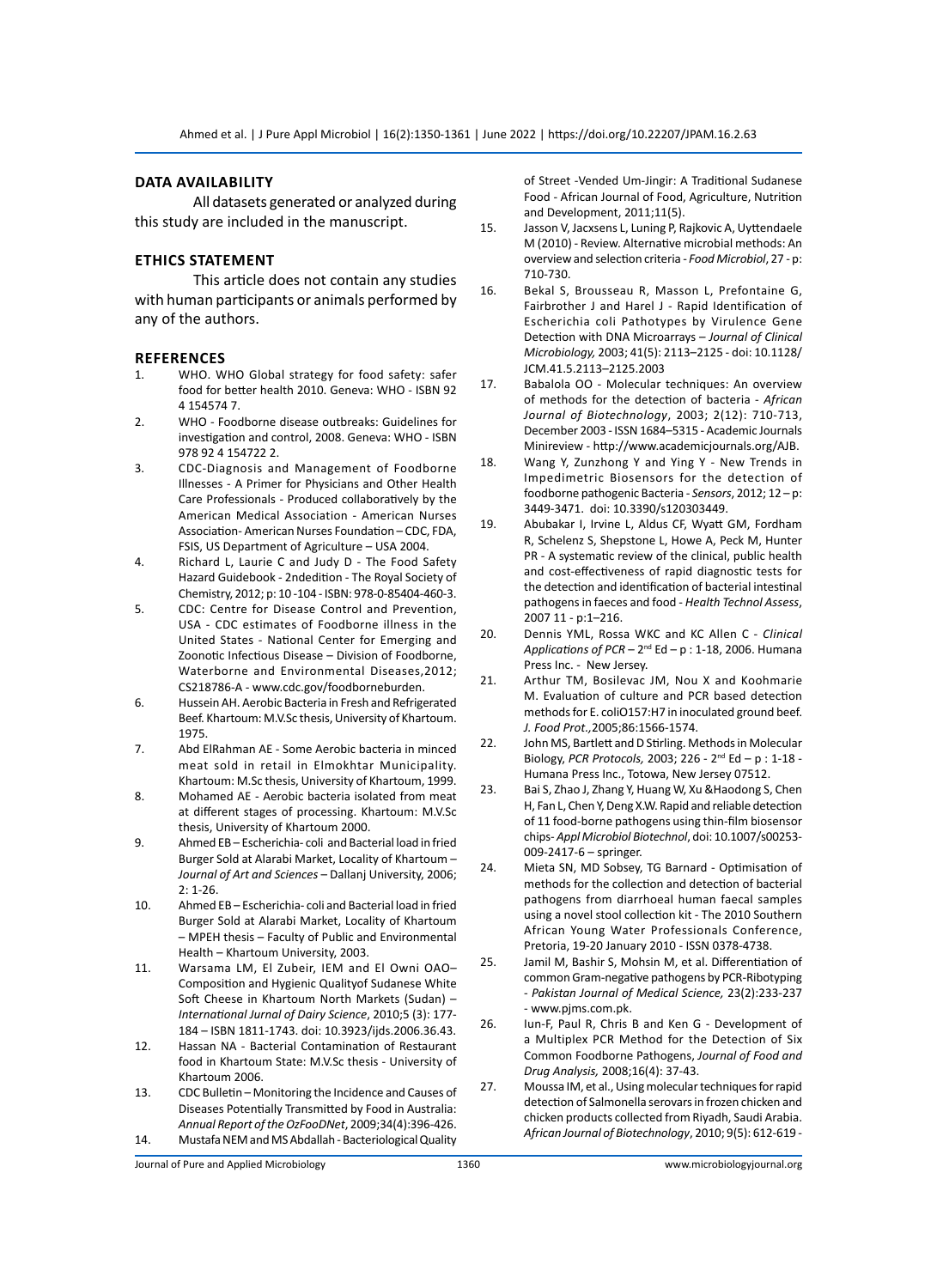# **Data Availability**

All datasets generated or analyzed during this study are included in the manuscript.

#### **Ethics Statement**

This article does not contain any studies with human participants or animals performed by any of the authors.

#### **References**

- 1. WHO. WHO Global strategy for food safety: safer food for better health 2010. Geneva: WHO - ISBN 92 4 154574 7.
- 2. WHO Foodborne disease outbreaks: Guidelines for investigation and control, 2008. Geneva: WHO - ISBN 978 92 4 154722 2.
- 3. CDC-Diagnosis and Management of Foodborne Illnesses - A Primer for Physicians and Other Health Care Professionals - Produced collaboratively by the American Medical Association - American Nurses Association- American Nurses Foundation – CDC, FDA, FSIS, US Department of Agriculture – USA 2004.
- 4. Richard L, Laurie C and Judy D The Food Safety Hazard Guidebook - 2ndedition - The Royal Society of Chemistry, 2012; p: 10 -104 - ISBN: 978-0-85404-460-3.
- 5. CDC: Centre for Disease Control and Prevention, USA - CDC estimates of Foodborne illness in the United States - National Center for Emerging and Zoonotic Infectious Disease – Division of Foodborne, Waterborne and Environmental Diseases,2012; CS218786-A - www.cdc.gov/foodborneburden.
- 6. Hussein AH. Aerobic Bacteria in Fresh and Refrigerated Beef. Khartoum: M.V.Sc thesis, University of Khartoum. 1975.
- 7. Abd ElRahman AE Some Aerobic bacteria in minced meat sold in retail in Elmokhtar Municipality. Khartoum: M.Sc thesis, University of Khartoum, 1999.
- 8. Mohamed AE Aerobic bacteria isolated from meat at different stages of processing. Khartoum: M.V.Sc thesis, University of Khartoum 2000.
- 9. Ahmed EB Escherichia- coli and Bacterial load in fried Burger Sold at Alarabi Market, Locality of Khartoum – *Journal of Art and Sciences* – Dallanj University, 2006; 2: 1-26.
- 10. Ahmed EB Escherichia- coli and Bacterial load in fried Burger Sold at Alarabi Market, Locality of Khartoum – MPEH thesis – Faculty of Public and Environmental Health – Khartoum University, 2003.
- 11. Warsama LM, El Zubeir, IEM and El Owni OAO– Composition and Hygienic Qualityof Sudanese White Soft Cheese in Khartoum North Markets (Sudan) – *International Jurnal of Dairy Science*, 2010;5 (3): 177- 184 – ISBN 1811-1743. doi: 10.3923/ijds.2006.36.43.
- 12. Hassan NA Bacterial Contamination of Restaurant food in Khartoum State: M.V.Sc thesis - University of Khartoum 2006.
- 13. CDC Bulletin Monitoring the Incidence and Causes of Diseases Potentially Transmitted by Food in Australia: *Annual Report of the OzFooDNet*, 2009;34(4):396-426. 14. Mustafa NEM and MS Abdallah - Bacteriological Quality

of Street -Vended Um-Jingir: A Traditional Sudanese Food - African Journal of Food, Agriculture, Nutrition and Development, 2011;11(5).

- 15. Jasson V, Jacxsens L, Luning P, Rajkovic A, Uyttendaele M (2010) - Review. Alternative microbial methods: An overview and selection criteria - *Food Microbiol*, 27 - p: 710-730.
- 16. Bekal S, Brousseau R, Masson L, Prefontaine G, Fairbrother J and Harel J - Rapid Identification of Escherichia coli Pathotypes by Virulence Gene Detection with DNA Microarrays – *Journal of Clinical Microbiology,* 2003; 41(5): 2113–2125 - doi: 10.1128/ JCM.41.5.2113–2125.2003
- 17. Babalola OO Molecular techniques: An overview of methods for the detection of bacteria - *African Journal of Biotechnology*, 2003; 2(12): 710-713, December 2003 - ISSN 1684–5315 - Academic Journals Minireview - http://www.academicjournals.org/AJB.
- 18. Wang Y, Zunzhong Y and Ying Y New Trends in Impedimetric Biosensors for the detection of foodborne pathogenic Bacteria - *Sensors*, 2012; 12 – p: 3449-3471. doi: 10.3390/s120303449.
- 19. Abubakar I, Irvine L, Aldus CF, Wyatt GM, Fordham R, Schelenz S, Shepstone L, Howe A, Peck M, Hunter PR - A systematic review of the clinical, public health and cost-effectiveness of rapid diagnostic tests for the detection and identification of bacterial intestinal pathogens in faeces and food - *Health Technol Assess*, 2007 11 - p:1–216.
- 20. Dennis YML, Rossa WKC and KC Allen C *Clinical Applications of PCR* – 2nd Ed – p : 1-18, 2006. Humana Press Inc. - New Jersey.
- 21. Arthur TM, Bosilevac JM, Nou X and Koohmarie M. Evaluation of culture and PCR based detection methods for E. coliO157:H7 in inoculated ground beef. *J. Food Prot.,*2005;86:1566-1574.
- 22. John MS, Bartlett and D Stirling. Methods in Molecular Biology, *PCR Protocols,* 2003; 226 - 2nd Ed – p : 1-18 - Humana Press Inc., Totowa, New Jersey 07512.
- 23. Bai S, Zhao J, Zhang Y, Huang W, Xu &Haodong S, Chen H, Fan L, Chen Y, Deng X.W. Rapid and reliable detection of 11 food-borne pathogens using thin-film biosensor chips- *Appl Microbiol Biotechnol*, doi: 10.1007/s00253- 009-2417-6 – springer.
- 24. Mieta SN, MD Sobsey, TG Barnard Optimisation of methods for the collection and detection of bacterial pathogens from diarrhoeal human faecal samples using a novel stool collection kit - The 2010 Southern African Young Water Professionals Conference, Pretoria, 19-20 January 2010 - ISSN 0378-4738.
- 25. Jamil M, Bashir S, Mohsin M, et al. Differentiation of common Gram-negative pathogens by PCR-Ribotyping - *Pakistan Journal of Medical Science,* 23(2):233-237 - www.pjms.com.pk.
- 26. Iun-F, Paul R, Chris B and Ken G Development of a Multiplex PCR Method for the Detection of Six Common Foodborne Pathogens, *Journal of Food and Drug Analysis,* 2008;16(4): 37-43.
- 27. Moussa IM, et al., Using molecular techniques for rapid detection of Salmonella serovars in frozen chicken and chicken products collected from Riyadh, Saudi Arabia. *African Journal of Biotechnology*, 2010; 9(5): 612-619 -